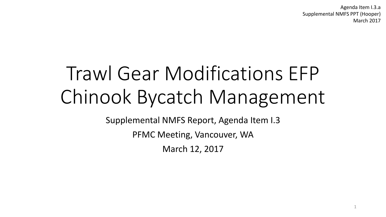Agenda Item I.3.a Supplemental NMFS PPT (Hooper) March 2017

1

# Trawl Gear Modifications EFP Chinook Bycatch Management

Supplemental NMFS Report, Agenda Item I.3

PFMC Meeting, Vancouver, WA

March 12, 2017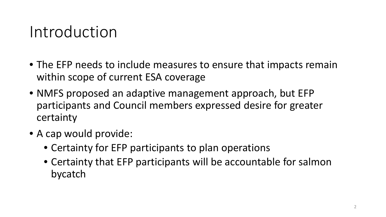# Introduction

- The EFP needs to include measures to ensure that impacts remain within scope of current ESA coverage
- NMFS proposed an adaptive management approach, but EFP participants and Council members expressed desire for greater certainty
- A cap would provide:
	- Certainty for EFP participants to plan operations
	- Certainty that EFP participants will be accountable for salmon bycatch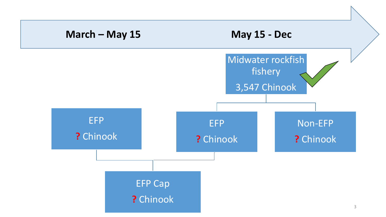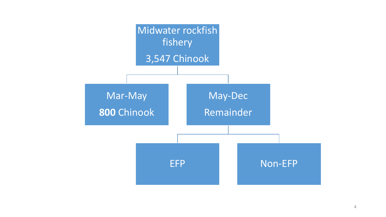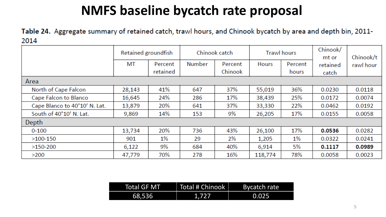### **NMFS baseline bycatch rate proposal**

Table 24. Aggregate summary of retained catch, trawl hours, and Chinook bycatch by area and depth bin, 2011-2014 <u> 1989 - Johann Harry Harry Harry Harry Harry Harry Harry Harry Harry Harry Harry Harry Harry Harry Harry Harry</u>

|                               | Retained groundfish |          | Chinook catch |         | <b>Trawl hours</b> |         | Chinook/<br>mt or | Chinook/t |
|-------------------------------|---------------------|----------|---------------|---------|--------------------|---------|-------------------|-----------|
|                               | МT                  | Percent  | <b>Number</b> | Percent | Hours              | Percent | retained          | rawl hour |
|                               |                     | retained |               | Chinook |                    | hours   | catch             |           |
| Area                          |                     |          |               |         |                    |         |                   |           |
| North of Cape Falcon          | 28,143              | 41%      | 647           | 37%     | 55,019             | 36%     | 0.0230            | 0.0118    |
| Cape Falcon to Blanco         | 16,645              | 24%      | 286           | 17%     | 38,439             | 25%     | 0.0172            | 0.0074    |
| Cape Blanco to 40°10' N. Lat. | 13,879              | 20%      | 641           | 37%     | 33,330             | 22%     | 0.0462            | 0.0192    |
| South of 40°10' N. Lat.       | 9,869               | 14%      | 153           | 9%      | 26,205             | 17%     | 0.0155            | 0.0058    |
| Depth                         |                     |          |               |         |                    |         |                   |           |
| $0 - 100$                     | 13,734              | 20%      | 736           | 43%     | 26,100             | 17%     | 0.0536            | 0.0282    |
| $>100-150$                    | 901                 | 1%       | 29            | 2%      | 1,205              | 1%      | 0.0322            | 0.0241    |
| $>150-200$                    | 6,122               | 9%       | 684           | 40%     | 6,914              | 5%      | 0.1117            | 0.0989    |
| >200                          | 47,779              | 70%      | 278           | 16%     | 118,774            | 78%     | 0.0058            | 0.0023    |

| <b>Total GF MT</b> | Total # Chinook | Bycatch rate |
|--------------------|-----------------|--------------|
| 68,536             | 1,727           | 0.025        |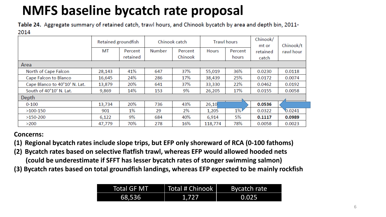## **NMFS baseline bycatch rate proposal**

Table 24. Aggregate summary of retained catch, trawl hours, and Chinook bycatch by area and depth bin, 2011-2014

|                               |        | Retained groundfish |        | Chinook catch |         | <b>Trawl hours</b> |          | Chinook/t |
|-------------------------------|--------|---------------------|--------|---------------|---------|--------------------|----------|-----------|
|                               | MT     | Percent             | Number | Percent       | Hours   | Percent            | retained | rawl hour |
|                               |        | retained            |        | Chinook       |         | hours              | catch    |           |
| Area                          |        |                     |        |               |         |                    |          |           |
| North of Cape Falcon          | 28,143 | 41%                 | 647    | 37%           | 55,019  | 36%                | 0.0230   | 0.0118    |
| Cape Falcon to Blanco         | 16,645 | 24%                 | 286    | 17%           | 38,439  | 25%                | 0.0172   | 0.0074    |
| Cape Blanco to 40°10' N. Lat. | 13,879 | 20%                 | 641    | 37%           | 33,330  | 22%                | 0.0462   | 0.0192    |
| South of 40°10' N. Lat.       | 9,869  | 14%                 | 153    | 9%            | 26,205  | 17%                | 0.0155   | 0.0058    |
| Depth                         |        |                     |        |               |         |                    |          |           |
| $0 - 100$                     | 13,734 | 20%                 | 736    | 43%           | 26,10   |                    | 0.0536   |           |
| $>100-150$                    | 901    | $1\%$               | 29     | 2%            | 1,205   | $1\%$              | 0.0322   | 0.0241    |
| $>150-200$                    | 6,122  | 9%                  | 684    | 40%           | 6,914   | 5%                 | 0.1117   | 0.0989    |
| >200                          | 47,779 | 70%                 | 278    | 16%           | 118,774 | 78%                | 0.0058   | 0.0023    |

**Concerns:**

- **(1) Regional bycatch rates include slope trips, but EFP only shoreward of RCA (0-100 fathoms)**
- **(2) Bycatch rates based on selective flatfish trawl, whereas EFP would allowed hooded nets (could be underestimate if SFFT has lesser bycatch rates of stonger swimming salmon)**
- **(3) Bycatch rates based on total groundfish landings, whereas EFP expected to be mainly rockfish**

| Total GF MT | Total # Chinook | Bycatch rate |
|-------------|-----------------|--------------|
| 68,536      | 4.727           | 0.025        |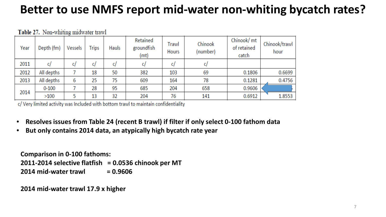### **Better to use NMFS report mid-water non-whiting bycatch rates?**

| Year | Depth (fm) | Vessels | <b>Trips</b> | Hauls | Retained<br>groundfish<br>(mt) | Trawl<br>Hours | Chinook<br>(number) | Chinook/ mt<br>of retained<br>catch | Chinook/trawl<br>hour |
|------|------------|---------|--------------|-------|--------------------------------|----------------|---------------------|-------------------------------------|-----------------------|
| 2011 |            |         | C/           | C,    | C/                             | C/             |                     |                                     |                       |
| 2012 | All depths |         | 18           | 50    | 382                            | 103            | 69                  | 0.1806                              | 0.6699                |
| 2013 | All depths | 6       | 25           | 75    | 609                            | 164            | 78                  | 0.1281                              | 0.4756                |
|      | $0 - 100$  |         | 28           | 95    | 685                            | 204            | 658                 | 0.9606                              |                       |
| 2014 | >100       |         | 13           | 32    | 204                            | 76             | 141                 | 0.6912                              | 1.8553                |

Table 27. Non-whiting midwater trawl

c/ Very limited activity was Included with bottom trawl to maintain confidentiality

- **Resolves issues from Table 24 (recent B trawl) if filter if only select 0-100 fathom data**
- **But only contains 2014 data, an atypically high bycatch rate year**

**Comparison in 0-100 fathoms: 2011-2014 selective flatfish = 0.0536 chinook per MT 2014 mid-water trawl = 0.9606** 

**2014 mid-water trawl 17.9 x higher**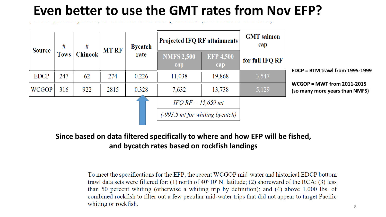### **Even better to use the GMT rates from Nov EFP?**



#### **Since based on data filtered specifically to where and how EFP will be fished, and bycatch rates based on rockfish landings**

To meet the specifications for the EFP, the recent WCGOP mid-water and historical EDCP bottom trawl data sets were filtered for: (1) north of  $40^{\circ}10'$  N. latitude; (2) shoreward of the RCA; (3) less than 50 percent whiting (otherwise a whiting trip by definition); and (4) above 1,000 lbs. of combined rockfish to filter out a few peculiar mid-water trips that did not appear to target Pacific whiting or rockfish.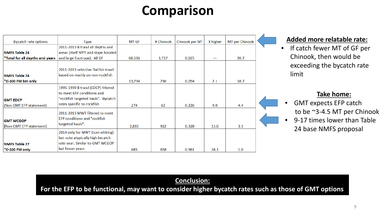### **Comparison**

| <b>Bycatch rate options</b>     | Type                                | MT GF  | # Chinook | Chinook per MT | X higher | MT per Chinook |  |
|---------------------------------|-------------------------------------|--------|-----------|----------------|----------|----------------|--|
|                                 | 2011-2015 B trawl all depths and    |        |           |                |          |                |  |
| <b>NMFS Table 24</b>            | areas (shelf SFFT and slope hooded) |        |           |                |          |                |  |
| *Total for all depths and years | and large footrope). All GF         | 68,536 | 1,727     | 0.025          |          | 39.7           |  |
|                                 |                                     |        |           |                |          |                |  |
|                                 | 2011-2015 selective flatfish trawl  |        |           |                |          |                |  |
| <b>NMFS Table 24</b>            | based on mainly on non-rockfish     |        |           |                |          |                |  |
| $*$ 0-100 FM bin only           |                                     | 13,734 | 736       | 0.054          | 2.1      | 18.7           |  |
|                                 | 1995-1999 B trawl (EDCP) filtered   |        |           |                |          |                |  |
|                                 | to meet EFP conditions and          |        |           |                |          |                |  |
| <b>GMT EDCP</b>                 | "rockfish targeted hauls". Bycatch  |        |           |                |          |                |  |
| (Nov GMT EFP statement)         | rates specific to rockfish          | 274    | 62        | 0.226          | 9.0      | 4.4            |  |
|                                 | 2011-2015 MWT filtered to meet      |        |           |                |          |                |  |
|                                 | <b>EFP</b> conditions and "rockfish |        |           |                |          |                |  |
| <b>GMT WCGOP</b>                | targeted hauls".                    |        |           |                |          |                |  |
| (Nov GMT EFP statement)         |                                     | 2,815  | 922       | 0.328          | 13.0     | 3.1            |  |
|                                 | 2014 only for MWT (non-whiting)     |        |           |                |          |                |  |
|                                 | but note atypically high bycatch    |        |           |                |          |                |  |
| <b>NMFS Table 27</b>            | rate year. Similar to GMT WCGOP     |        |           |                |          |                |  |
| *0-100 FM only                  | but fewer years                     | 685    | 658       | 0.961          | 38.1     | 1.0            |  |

#### **Added more relatable rate:**

• If catch fewer MT of GF per Chinook, then would be exceeding the bycatch rate limit

#### **Take home:**

- GMT expects EFP catch to be ~3-4.5 MT per Chinook
- 9-17 times lower than Table 24 base NMFS proposal

#### **Conclusion:**

**For the EFP to be functional, may want to consider higher bycatch rates such as those of GMT options**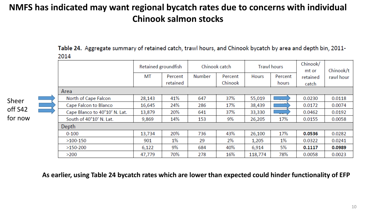### **NMFS has indicated may want regional bycatch rates due to concerns with individual Chinook salmon stocks**

Table 24. Aggregate summary of retained catch, trawl hours, and Chinook bycatch by area and depth bin, 2011-2014

|                |  |                               | Retained groundfish |                     | Chinook catch |                    | <b>Trawl hours</b> |                  | Chinook/<br>mt or | Chinook/t |
|----------------|--|-------------------------------|---------------------|---------------------|---------------|--------------------|--------------------|------------------|-------------------|-----------|
|                |  |                               | MT                  | Percent<br>retained | Number        | Percent<br>Chinook | Hours              | Percent<br>hours | retained<br>catch | rawl hour |
|                |  | Area                          |                     |                     |               |                    |                    |                  |                   |           |
|                |  | North of Cape Falcon          | 28,143              | 41%                 | 647           | 37%                | 55,019             |                  | 0.0230            | 0.0118    |
|                |  | Cape Falcon to Blanco         | 16,645              | 24%                 | 286           | 17%                | 38,439             |                  | 0.0172            | 0.0074    |
| $\overline{2}$ |  | Cape Blanco to 40°10' N. Lat. | 13,879              | 20%                 | 641           | 37%                | 33,330             |                  | 0.0462            | 0.0192    |
| W              |  | South of 40°10' N. Lat.       | 9,869               | 14%                 | 153           | 9%                 | 26,205             | 17%              | 0.0155            | 0.0058    |
|                |  | Depth                         |                     |                     |               |                    |                    |                  |                   |           |
|                |  | $0 - 100$                     | 13,734              | 20%                 | 736           | 43%                | 26,100             | 17%              | 0.0536            | 0.0282    |
|                |  | $>100-150$                    | 901                 | 1%                  | 29            | 2%                 | 1,205              | $1\%$            | 0.0322            | 0.0241    |
|                |  | $>150-200$                    | 6,122               | 9%                  | 684           | 40%                | 6,914              | 5%               | 0.1117            | 0.0989    |
|                |  | >200                          | 47,779              | 70%                 | 278           | 16%                | 118,774            | 78%              | 0.0058            | 0.0023    |

**As earlier, using Table 24 bycatch rates which are lower than expected could hinder functionality of EFP**

Sheer off S42 for no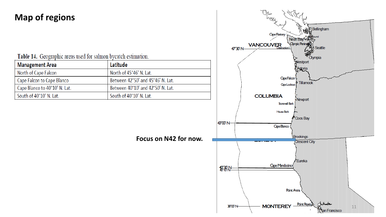### **Map of regions**

Table 14. Geographic areas used for salmon bycatch estimation.

| Management Area               | Latitude                          |
|-------------------------------|-----------------------------------|
| North of Cape Falcon          | North of 45°46' N. Lat.           |
| Cape Falcon to Cape Blanco    | Between 42°50' and 45°46' N. Lat. |
| Cape Blanco to 40°10' N. Lat. | Between 40°10' and 42°50' N. Lat. |
| South of 40°10' N. Lat.       | South of 40°10' N. Lat.           |

**Focus on N42 for now.**

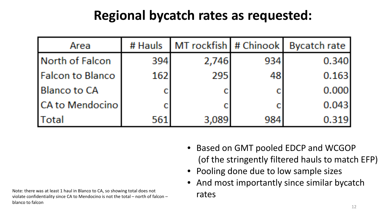### **Regional bycatch rates as requested:**

| Area                    | # Hauls | MT rockfish # Chinook |     | Bycatch rate |
|-------------------------|---------|-----------------------|-----|--------------|
| North of Falcon         | 394     | 2,746                 | 934 | 0.340        |
| <b>Falcon to Blanco</b> | 162     | 295                   | 48  | 0.163        |
| <b>Blanco to CA</b>     |         |                       |     | 0.000        |
| <b>CA to Mendocino</b>  |         |                       |     | 0.043        |
| Total                   | 561     | 3,089                 | 984 | 0.319        |

- Based on GMT pooled EDCP and WCGOP (of the stringently filtered hauls to match EFP)
- Pooling done due to low sample sizes
- And most importantly since similar bycatch

Note: there was at least 1 haul in Blanco to CA, so showing total does not  $\overline{\text{rates}}$ blanco to falcon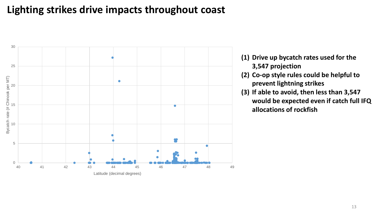### **Lighting strikes drive impacts throughout coast**



- **(1) Drive up bycatch rates used for the 3,547 projection**
- **(2) Co-op style rules could be helpful to prevent lightning strikes**
- **(3) If able to avoid, then less than 3,547 would be expected even if catch full IFQ allocations of rockfish**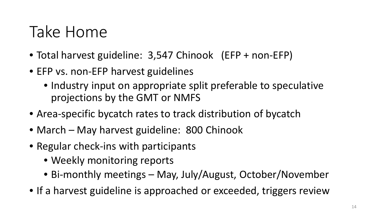# Take Home

- Total harvest guideline: 3,547 Chinook (EFP + non-EFP)
- EFP vs. non-EFP harvest guidelines
	- Industry input on appropriate split preferable to speculative projections by the GMT or NMFS
- Area-specific bycatch rates to track distribution of bycatch
- March May harvest guideline: 800 Chinook
- Regular check-ins with participants
	- Weekly monitoring reports
	- Bi-monthly meetings May, July/August, October/November
- If a harvest guideline is approached or exceeded, triggers review